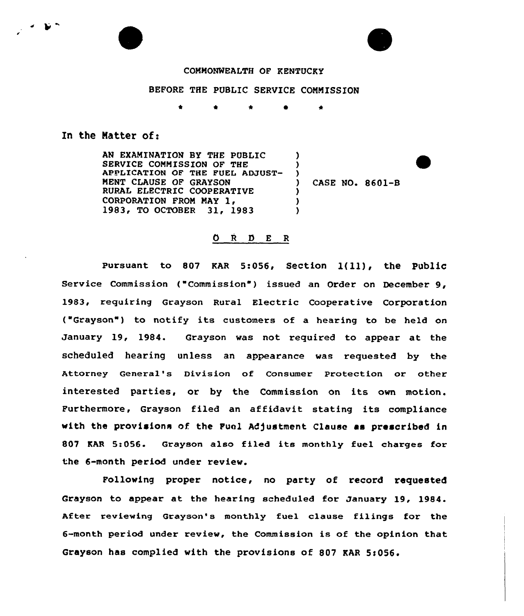## COMMONWEALTH OF KENTUCKY

## BEFORE THE PUBLIC SERVICE COMMISSION

<sup>4</sup> \* \*

## In the Natter of:

AN EXAMINATION BY THE PUBLIC SERVICE COMMISSION OF THE APPLICATION OF THE FUEL ADJUST-MENT CLAUSE OF GRAYSON RURAL ELECTRIC COOPERATIVE<br>CORPORATION FROM MAY 1, 1983, TO OCTOBER 31, 1983  $\lambda$ ) ) ) CASE NO. 8601-B )  $\lambda$ 

## 0 <sup>R</sup> I) E <sup>R</sup>

Pursuant to 807 KAR 5:056, Section 1(11), the Public Service Commission ("Commission") issued an Order on December 9, 1983, requiring Grayson Rural Electric Cooperative Corporation ("Grayson") to notify its customers of a hearing to be held on January 19, 1984. Grayson was not required to appear at the scheduled hearing unless an appearance was requested by the Attorney General's Division of Consumer Protection or other interested parties, or by the Commission on its own motion. Furthermore, Grayson filed an affidavit stating its compliance with the provisions of the Fuel Adjustment Clause as prescribed in 807 KAR 5:056. Grayson also filed its monthly fuel charges for the 6-month period under review.

Following proper notice, no party of record requested Grayson to appear at the hearing scheduled for January 19, 1984. After reviewing Grayson's monthly tuel clause filings for the 6-month period under review, the Commission is of the opinion that Grayson has complied with the provisions of 807 KAR 5:056.